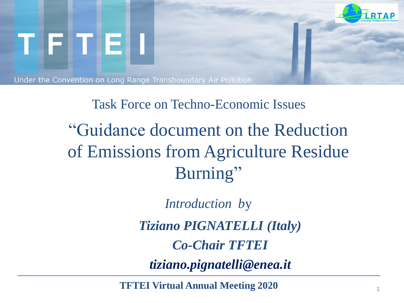

# Task Force on Techno-Economic Issues "Guidance document on the Reduction of Emissions from Agriculture Residue Burning"

*Introduction b*y

*Tiziano PIGNATELLI (Italy)*

*Co-Chair TFTEI*

*tiziano.pignatelli@enea.it*

**TFTEI Virtual Annual Meeting 2020**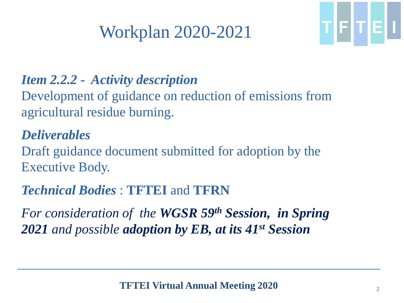## Workplan 2020-2021



#### *Item 2.2.2 - Activity description*

Development of guidance on reduction of emissions from agricultural residue burning.

#### *Deliverables*

Draft guidance document submitted for adoption by the Executive Body.

### *Technical Bodies* : **TFTEI** and **TFRN**

*For consideration of the WGSR 59th Session, in Spring 2021 and possible adoption by EB, at its 41st Session*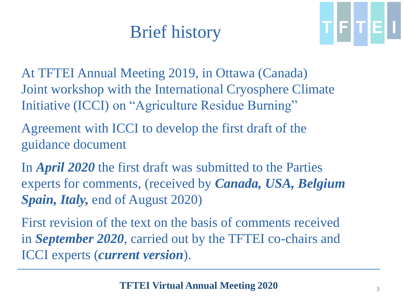# Brief history



At TFTEI Annual Meeting 2019, in Ottawa (Canada) Joint workshop with the International Cryosphere Climate Initiative (ICCI) on "Agriculture Residue Burning"

Agreement with ICCI to develop the first draft of the guidance document

In *April 2020* the first draft was submitted to the Parties experts for comments, (received by *Canada, USA, Belgium Spain, Italy,* end of August 2020)

First revision of the text on the basis of comments received in *September 2020*, carried out by the TFTEI co-chairs and ICCI experts (*current version*).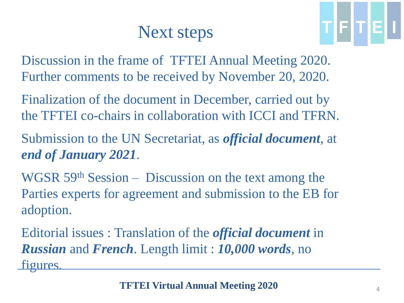### Next steps

TFTE

Discussion in the frame of TFTEI Annual Meeting 2020. Further comments to be received by November 20, 2020.

Finalization of the document in December, carried out by the TFTEI co-chairs in collaboration with ICCI and TFRN.

Submission to the UN Secretariat, as *official document*, at *end of January 2021*.

WGSR 59<sup>th</sup> Session – Discussion on the text among the Parties experts for agreement and submission to the EB for adoption.

Editorial issues : Translation of the *official document* in *Russian* and *French*. Length limit : *10,000 words*, no figures.